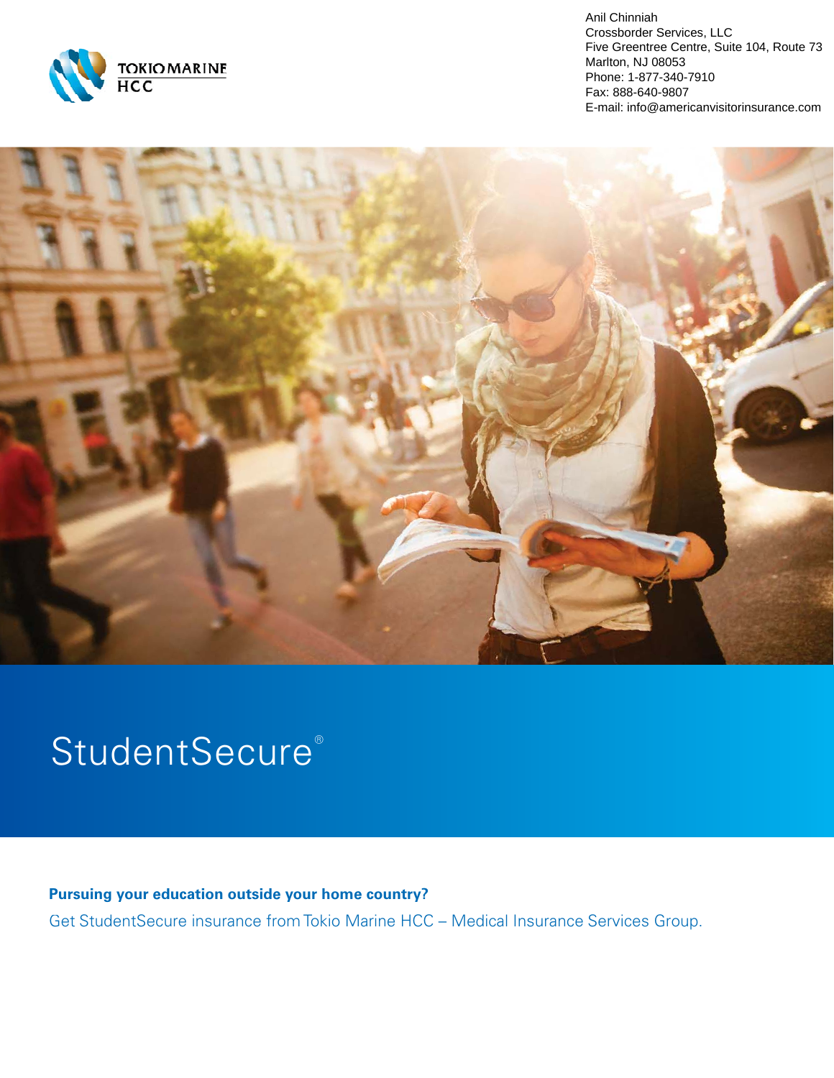

Anil Chinniah Crossborder Services, LLC Five Greentree Centre, Suite 104, Route 73 Marlton, NJ 08053 Phone: 1-877-340-7910 Fax: 888-640-9807 E-mail: info@americanvisitorinsurance.com



# StudentSecure®

**Pursuing your education outside your home country?**  Get StudentSecure insurance from Tokio Marine HCC – Medical Insurance Services Group.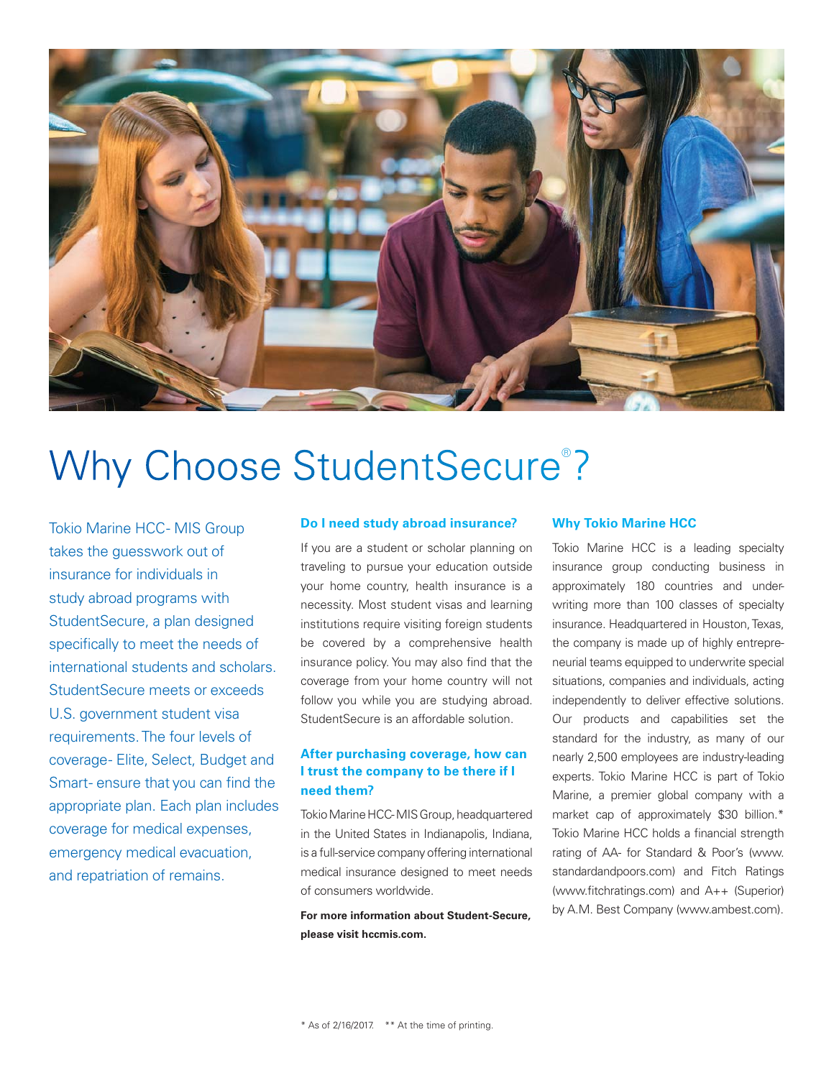

# Why Choose StudentSecure®?

Tokio Marine HCC- MIS Group takes the guesswork out of insurance for individuals in study abroad programs with StudentSecure, a plan designed specifically to meet the needs of international students and scholars. StudentSecure meets or exceeds U.S. government student visa requirements. The four levels of coverage - Elite, Select, Budget and Smart- ensure that you can find the appropriate plan. Each plan includes coverage for medical expenses, emergency medical evacuation, and repatriation of remains.

# **Do I need study abroad insurance?**

If you are a student or scholar planning on traveling to pursue your education outside your home country, health insurance is a necessity. Most student visas and learning institutions require visiting foreign students be covered by a comprehensive health insurance policy. You may also find that the coverage from your home country will not follow you while you are studying abroad. StudentSecure is an affordable solution.

# **After purchasing coverage, how can I trust the company to be there if I need them?**

Tokio Marine HCC - MIS Group, headquartered in the United States in Indianapolis, Indiana, is a full-service company offering international medical insurance designed to meet needs of consumers worldwide.

**For more information about Student-Secure, please visit hccmis.com.**

# **Why Tokio Marine HCC**

Tokio Marine HCC is a leading specialty insurance group conducting business in approximately 180 countries and underwriting more than 100 classes of specialty insurance. Headquartered in Houston, Texas, the company is made up of highly entrepreneurial teams equipped to underwrite special situations, companies and individuals, acting independently to deliver effective solutions. Our products and capabilities set the standard for the industry, as many of our nearly 2,500 employees are industry-leading experts. Tokio Marine HCC is part of Tokio Marine, a premier global company with a market cap of approximately \$30 billion.\* Tokio Marine HCC holds a financial strength rating of AA- for Standard & Poor's (www. standardandpoors.com) and Fitch Ratings (www.fitchratings.com) and A++ (Superior) by A.M. Best Company (www.ambest.com).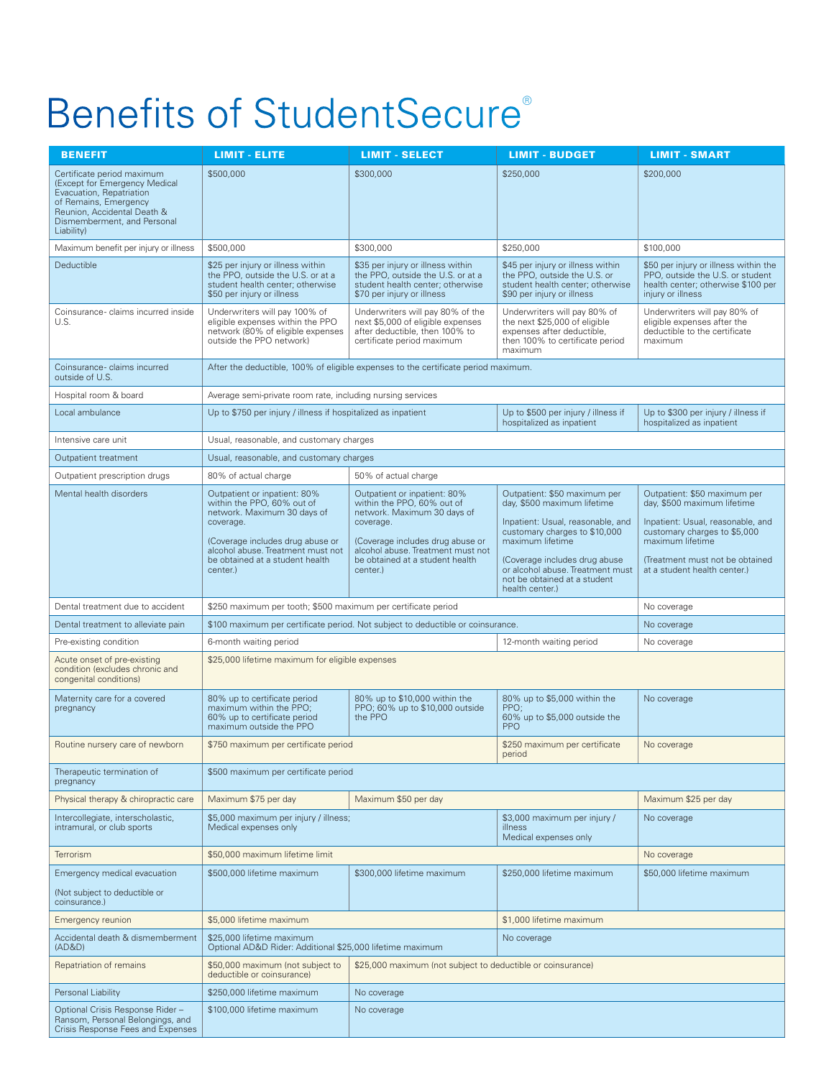# Benefits of StudentSecure®

| <b>BENEFIT</b>                                                                                                                                                                               | <b>LIMIT - ELITE</b>                                                                                                                     | <b>LIMIT - SELECT</b>                                                                                                                    | <b>LIMIT - BUDGET</b>                                                                                                                     | <b>LIMIT - SMART</b>                                                                                                                 |
|----------------------------------------------------------------------------------------------------------------------------------------------------------------------------------------------|------------------------------------------------------------------------------------------------------------------------------------------|------------------------------------------------------------------------------------------------------------------------------------------|-------------------------------------------------------------------------------------------------------------------------------------------|--------------------------------------------------------------------------------------------------------------------------------------|
| Certificate period maximum<br>(Except for Emergency Medical<br>Evacuation, Repatriation<br>of Remains, Emergency<br>Reunion, Accidental Death &<br>Dismemberment, and Personal<br>Liability) | \$500,000                                                                                                                                | \$300,000                                                                                                                                | \$250,000                                                                                                                                 | \$200,000                                                                                                                            |
| Maximum benefit per injury or illness                                                                                                                                                        | \$500,000                                                                                                                                | \$300,000                                                                                                                                | \$250,000                                                                                                                                 | \$100,000                                                                                                                            |
| Deductible                                                                                                                                                                                   | \$25 per injury or illness within<br>the PPO, outside the U.S. or at a<br>student health center; otherwise<br>\$50 per injury or illness | \$35 per injury or illness within<br>the PPO, outside the U.S. or at a<br>student health center; otherwise<br>\$70 per injury or illness | \$45 per injury or illness within<br>the PPO, outside the U.S. or<br>student health center; otherwise<br>\$90 per injury or illness       | \$50 per injury or illness within the<br>PPO, outside the U.S. or student<br>health center: otherwise \$100 per<br>injury or illness |
| Coinsurance-claims incurred inside<br>U.S.                                                                                                                                                   | Underwriters will pay 100% of<br>eligible expenses within the PPO<br>network (80% of eligible expenses<br>outside the PPO network)       | Underwriters will pay 80% of the<br>next \$5,000 of eligible expenses<br>after deductible, then 100% to<br>certificate period maximum    | Underwriters will pay 80% of<br>the next \$25,000 of eligible<br>expenses after deductible,<br>then 100% to certificate period<br>maximum | Underwriters will pay 80% of<br>eligible expenses after the<br>deductible to the certificate<br>maximum                              |
| Coinsurance-claims incurred<br>outside of U.S.                                                                                                                                               | After the deductible, 100% of eligible expenses to the certificate period maximum.                                                       |                                                                                                                                          |                                                                                                                                           |                                                                                                                                      |
| Hospital room & board                                                                                                                                                                        | Average semi-private room rate, including nursing services                                                                               |                                                                                                                                          |                                                                                                                                           |                                                                                                                                      |
| Local ambulance                                                                                                                                                                              | Up to \$750 per injury / illness if hospitalized as inpatient<br>hospitalized as inpatient                                               |                                                                                                                                          | Up to \$500 per injury / illness if                                                                                                       | Up to \$300 per injury / illness if<br>hospitalized as inpatient                                                                     |
| Intensive care unit                                                                                                                                                                          | Usual, reasonable, and customary charges                                                                                                 |                                                                                                                                          |                                                                                                                                           |                                                                                                                                      |
| Outpatient treatment                                                                                                                                                                         | Usual, reasonable, and customary charges                                                                                                 |                                                                                                                                          |                                                                                                                                           |                                                                                                                                      |
| Outpatient prescription drugs                                                                                                                                                                | 80% of actual charge<br>50% of actual charge                                                                                             |                                                                                                                                          |                                                                                                                                           |                                                                                                                                      |
| Mental health disorders                                                                                                                                                                      | Outpatient or inpatient: 80%<br>within the PPO, 60% out of<br>network. Maximum 30 days of<br>coverage.                                   | Outpatient or inpatient: 80%<br>within the PPO. 60% out of<br>network. Maximum 30 days of<br>coverage.                                   | Outpatient: \$50 maximum per<br>day, \$500 maximum lifetime<br>Inpatient: Usual, reasonable, and<br>customary charges to \$10,000         | Outpatient: \$50 maximum per<br>day, \$500 maximum lifetime<br>Inpatient: Usual, reasonable, and<br>customary charges to \$5,000     |
|                                                                                                                                                                                              | (Coverage includes drug abuse or<br>alcohol abuse. Treatment must not<br>be obtained at a student health<br>center.)                     | (Coverage includes drug abuse or<br>alcohol abuse. Treatment must not<br>be obtained at a student health<br>center.)                     | maximum lifetime<br>(Coverage includes drug abuse<br>or alcohol abuse. Treatment must<br>not be obtained at a student<br>health center.)  | maximum lifetime<br>(Treatment must not be obtained<br>at a student health center.)                                                  |
| Dental treatment due to accident                                                                                                                                                             | \$250 maximum per tooth; \$500 maximum per certificate period                                                                            |                                                                                                                                          |                                                                                                                                           | No coverage                                                                                                                          |
| Dental treatment to alleviate pain                                                                                                                                                           | \$100 maximum per certificate period. Not subject to deductible or coinsurance.                                                          |                                                                                                                                          |                                                                                                                                           | No coverage                                                                                                                          |
| Pre-existing condition                                                                                                                                                                       | 6-month waiting period                                                                                                                   |                                                                                                                                          | 12-month waiting period                                                                                                                   | No coverage                                                                                                                          |
| Acute onset of pre-existing<br>condition (excludes chronic and<br>congenital conditions)                                                                                                     | \$25,000 lifetime maximum for eligible expenses                                                                                          |                                                                                                                                          |                                                                                                                                           |                                                                                                                                      |
| Maternity care for a covered<br>pregnancy                                                                                                                                                    | 80% up to certificate period<br>maximum within the PPO;<br>60% up to certificate period<br>maximum outside the PPO                       | 80% up to \$10,000 within the<br>PPO; 60% up to \$10,000 outside<br>the PPO                                                              | 80% up to \$5,000 within the<br>PPO;<br>60% up to \$5,000 outside the<br><b>PPO</b>                                                       | No coverage                                                                                                                          |
| Routine nursery care of newborn                                                                                                                                                              | \$750 maximum per certificate period<br>\$250 maximum per certificate<br>period                                                          |                                                                                                                                          |                                                                                                                                           | No coverage                                                                                                                          |
| Therapeutic termination of<br>pregnancy                                                                                                                                                      | \$500 maximum per certificate period                                                                                                     |                                                                                                                                          |                                                                                                                                           |                                                                                                                                      |
| Physical therapy & chiropractic care                                                                                                                                                         | Maximum \$75 per day                                                                                                                     | Maximum \$50 per day                                                                                                                     |                                                                                                                                           | Maximum \$25 per day                                                                                                                 |
| Intercollegiate, interscholastic,<br>intramural, or club sports                                                                                                                              | \$5,000 maximum per injury / illness;<br>Medical expenses only                                                                           |                                                                                                                                          | \$3,000 maximum per injury /<br>illness<br>Medical expenses only                                                                          | No coverage                                                                                                                          |
| <b>Terrorism</b>                                                                                                                                                                             | \$50,000 maximum lifetime limit                                                                                                          |                                                                                                                                          |                                                                                                                                           | No coverage                                                                                                                          |
| Emergency medical evacuation                                                                                                                                                                 | \$500,000 lifetime maximum                                                                                                               | \$300,000 lifetime maximum                                                                                                               | \$250,000 lifetime maximum                                                                                                                | \$50,000 lifetime maximum                                                                                                            |
| (Not subject to deductible or<br>coinsurance.)                                                                                                                                               |                                                                                                                                          |                                                                                                                                          |                                                                                                                                           |                                                                                                                                      |
| <b>Emergency reunion</b>                                                                                                                                                                     | \$5,000 lifetime maximum                                                                                                                 |                                                                                                                                          | \$1,000 lifetime maximum                                                                                                                  |                                                                                                                                      |
| Accidental death & dismemberment<br>(AD&D)                                                                                                                                                   | \$25,000 lifetime maximum<br>Optional AD&D Rider: Additional \$25,000 lifetime maximum                                                   |                                                                                                                                          | No coverage                                                                                                                               |                                                                                                                                      |
| Repatriation of remains                                                                                                                                                                      | \$50,000 maximum (not subject to<br>deductible or coinsurance)                                                                           | \$25,000 maximum (not subject to deductible or coinsurance)                                                                              |                                                                                                                                           |                                                                                                                                      |
| Personal Liability                                                                                                                                                                           | \$250,000 lifetime maximum                                                                                                               | No coverage                                                                                                                              |                                                                                                                                           |                                                                                                                                      |
| Optional Crisis Response Rider-<br>Ransom, Personal Belongings, and<br>Crisis Response Fees and Expenses                                                                                     | \$100,000 lifetime maximum                                                                                                               | No coverage                                                                                                                              |                                                                                                                                           |                                                                                                                                      |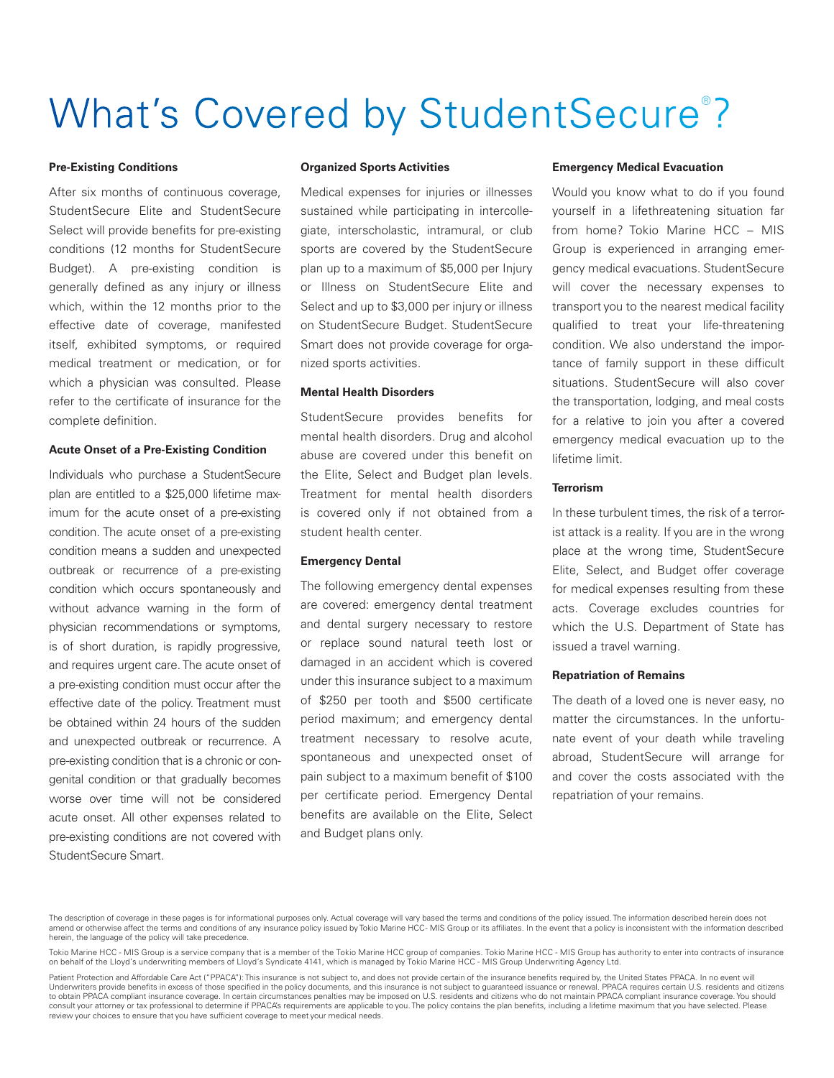# What's Covered by StudentSecure<sup>®</sup>?

#### **Pre-Existing Conditions**

After six months of continuous coverage, StudentSecure Elite and StudentSecure Select will provide benefits for pre-existing conditions (12 months for StudentSecure Budget). A pre-existing condition is generally defined as any injury or illness which, within the 12 months prior to the effective date of coverage, manifested itself, exhibited symptoms, or required medical treatment or medication, or for which a physician was consulted. Please refer to the certificate of insurance for the complete definition.

## **Acute Onset of a Pre-Existing Condition**

Individuals who purchase a StudentSecure plan are entitled to a \$25,000 lifetime maximum for the acute onset of a pre-existing condition. The acute onset of a pre-existing condition means a sudden and unexpected outbreak or recurrence of a pre-existing condition which occurs spontaneously and without advance warning in the form of physician recommendations or symptoms, is of short duration, is rapidly progressive, and requires urgent care. The acute onset of a pre-existing condition must occur after the effective date of the policy. Treatment must be obtained within 24 hours of the sudden and unexpected outbreak or recurrence. A pre-existing condition that is a chronic or congenital condition or that gradually becomes worse over time will not be considered acute onset. All other expenses related to pre-existing conditions are not covered with StudentSecure Smart.

#### **Organized Sports Activities**

Medical expenses for injuries or illnesses sustained while participating in intercollegiate, interscholastic, intramural, or club sports are covered by the StudentSecure plan up to a maximum of \$5,000 per Injury or Illness on StudentSecure Elite and Select and up to \$3,000 per injury or illness on StudentSecure Budget. StudentSecure Smart does not provide coverage for organized sports activities.

### **Mental Health Disorders**

StudentSecure provides benefits for mental health disorders. Drug and alcohol abuse are covered under this benefit on the Elite, Select and Budget plan levels. Treatment for mental health disorders is covered only if not obtained from a student health center.

### **Emergency Dental**

The following emergency dental expenses are covered: emergency dental treatment and dental surgery necessary to restore or replace sound natural teeth lost or damaged in an accident which is covered under this insurance subject to a maximum of \$250 per tooth and \$500 certificate period maximum; and emergency dental treatment necessary to resolve acute, spontaneous and unexpected onset of pain subject to a maximum benefit of \$100 per certificate period. Emergency Dental benefits are available on the Elite, Select and Budget plans only.

#### **Emergency Medical Evacuation**

Would you know what to do if you found yourself in a lifethreatening situation far from home? Tokio Marine HCC – MIS Group is experienced in arranging emergency medical evacuations. StudentSecure will cover the necessary expenses to transport you to the nearest medical facility qualified to treat your life-threatening condition. We also understand the importance of family support in these difficult situations. StudentSecure will also cover the transportation, lodging, and meal costs for a relative to join you after a covered emergency medical evacuation up to the lifetime limit.

#### **Terrorism**

In these turbulent times, the risk of a terrorist attack is a reality. If you are in the wrong place at the wrong time, StudentSecure Elite, Select, and Budget offer coverage for medical expenses resulting from these acts. Coverage excludes countries for which the U.S. Department of State has issued a travel warning.

# **Repatriation of Remains**

The death of a loved one is never easy, no matter the circumstances. In the unfortunate event of your death while traveling abroad, StudentSecure will arrange for and cover the costs associated with the repatriation of your remains.

The description of coverage in these pages is for informational purposes only. Actual coverage will vary based the terms and conditions of the nolicy issued. The information described herein does not amend or otherwise affect the terms and conditions of any insurance policy issued by Tokio Marine HCC - MIS Group or its affiliates. In the event that a policy is inconsistent with the information described herein, the language of the policy will take precedence

Tokio Marine HCC - MIS Group is a service company that is a member of the Tokio Marine HCC group of companies. Tokio Marine HCC - MIS Group has authority to enter into contracts of insurance on behalf of the Lloyd's underwriting members of Lloyd's Syndicate 4141, which is managed by Tokio Marine HCC - MIS Group Underwriting Agency Ltd.

Patient Protection and Affordable Care Act ("PPACA"): This insurance is not subject to, and does not provide certain of the insurance benefits required by, the United States PPACA. In no event will Underwriters provide benefits in excess of those specified in the policy documents, and this insurance is not subject to guaranteed issuance or renewal. PPACA requires certain U.S. residents and citizens<br>to obtain PPACA co consult your attorney or tax professional to determine if PPACA's requirements are applicable to you. The policy contains the plan benefits, including a lifetime maximum that you have selected. Please review your choices to ensure that you have sufficient coverage to meet your medical needs.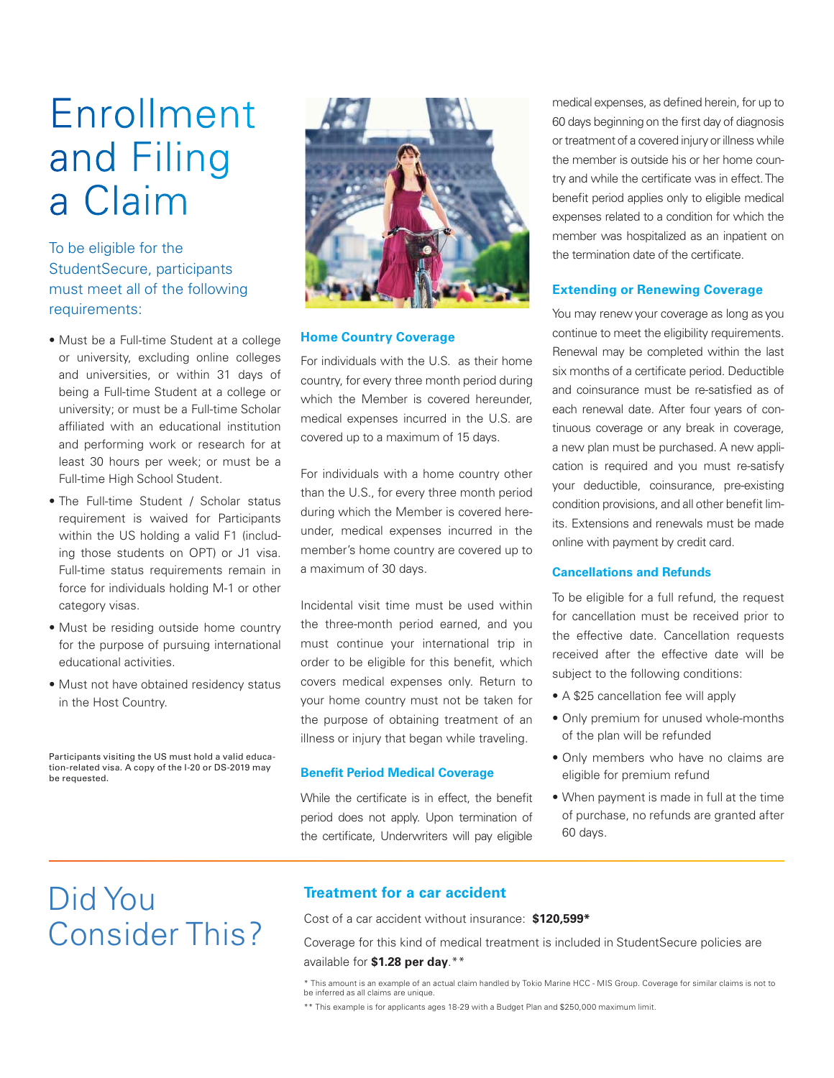# Enrollment and Filing a Claim

To be eligible for the StudentSecure, participants must meet all of the following requirements:

- Must be a Full-time Student at a college or university, excluding online colleges and universities, or within 31 days of being a Full-time Student at a college or university; or must be a Full-time Scholar affiliated with an educational institution and performing work or research for at least 30 hours per week; or must be a Full-time High School Student.
- The Full-time Student / Scholar status requirement is waived for Participants within the US holding a valid F1 (including those students on OPT) or J1 visa. Full-time status requirements remain in force for individuals holding M-1 or other category visas.
- Must be residing outside home country for the purpose of pursuing international educational activities.
- Must not have obtained residency status in the Host Country.

Participants visiting the US must hold a valid education-related visa. A copy of the I-20 or DS-2019 may be requested.



# **Home Country Coverage**

For individuals with the U.S. as their home country, for every three month period during which the Member is covered hereunder, medical expenses incurred in the U.S. are covered up to a maximum of 15 days.

For individuals with a home country other than the U.S., for every three month period during which the Member is covered hereunder, medical expenses incurred in the member's home country are covered up to a maximum of 30 days.

Incidental visit time must be used within the three-month period earned, and you must continue your international trip in order to be eligible for this benefit, which covers medical expenses only. Return to your home country must not be taken for the purpose of obtaining treatment of an illness or injury that began while traveling.

# **Benefit Period Medical Coverage**

While the certificate is in effect, the benefit period does not apply. Upon termination of the certificate, Underwriters will pay eligible medical expenses, as defined herein, for up to 60 days beginning on the first day of diagnosis or treatment of a covered injury or illness while the member is outside his or her home country and while the certificate was in effect. The benefit period applies only to eligible medical expenses related to a condition for which the member was hospitalized as an inpatient on the termination date of the certificate.

# **Extending or Renewing Coverage**

You may renew your coverage as long as you continue to meet the eligibility requirements. Renewal may be completed within the last six months of a certificate period. Deductible and coinsurance must be re-satisfied as of each renewal date. After four years of continuous coverage or any break in coverage, a new plan must be purchased. A new application is required and you must re-satisfy your deductible, coinsurance, pre-existing condition provisions, and all other benefit limits. Extensions and renewals must be made online with payment by credit card.

# **Cancellations and Refunds**

To be eligible for a full refund, the request for cancellation must be received prior to the effective date. Cancellation requests received after the effective date will be subject to the following conditions:

- A \$25 cancellation fee will apply
- Only premium for unused whole-months of the plan will be refunded
- Only members who have no claims are eligible for premium refund
- When payment is made in full at the time of purchase, no refunds are granted after 60 days.

# Did You Consider This?

# **Treatment for a car accident**

Cost of a car accident without insurance: **\$120,599\*** 

Coverage for this kind of medical treatment is included in StudentSecure policies are available for **\$1.28 per day**.\*\*

\* This amount is an example of an actual claim handled by Tokio Marine HCC - MIS Group. Coverage for similar claims is not to be inferred as all claims are unique.

\*\* This example is for applicants ages 18-29 with a Budget Plan and \$250,000 maximum limit.